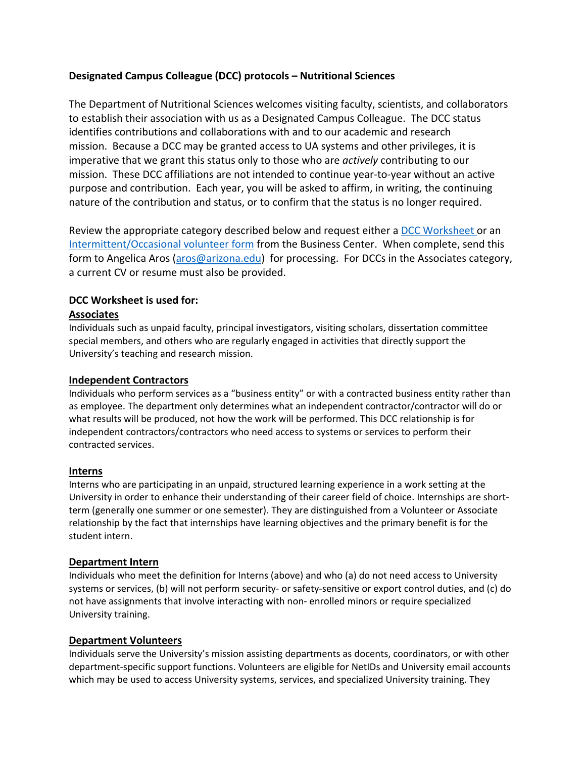## **Designated Campus Colleague (DCC) protocols – Nutritional Sciences**

The Department of Nutritional Sciences welcomes visiting faculty, scientists, and collaborators to establish their association with us as a Designated Campus Colleague. The DCC status identifies contributions and collaborations with and to our academic and research mission. Because a DCC may be granted access to UA systems and other privileges, it is imperative that we grant this status only to those who are *actively* contributing to our mission. These DCC affiliations are not intended to continue year-to-year without an active purpose and contribution. Each year, you will be asked to affirm, in writing, the continuing nature of the contribution and status, or to confirm that the status is no longer required.

Review the appropriate category described below and request either a DCC [Worksheet](https://hr.arizona.edu/sites/default/files/DCC_Worksheet.doc) or an [Intermittent/Occasional volunteer form](https://hr.arizona.edu/sites/default/files/DCC_IOV_Worksheet.doc) from the Business Center. When complete, send this form to Angelica Aros [\(aros@arizona.edu\)](mailto:aros@arizona.edu) for processing. For DCCs in the Associates category, a current CV or resume must also be provided.

# **DCC Worksheet is used for:**

### **Associates**

Individuals such as unpaid faculty, principal investigators, visiting scholars, dissertation committee special members, and others who are regularly engaged in activities that directly support the University's teaching and research mission.

#### **Independent Contractors**

Individuals who perform services as a "business entity" or with a contracted business entity rather than as employee. The department only determines what an independent contractor/contractor will do or what results will be produced, not how the work will be performed. This DCC relationship is for independent contractors/contractors who need access to systems or services to perform their contracted services.

#### **Interns**

Interns who are participating in an unpaid, structured learning experience in a work setting at the University in order to enhance their understanding of their career field of choice. Internships are shortterm (generally one summer or one semester). They are distinguished from a Volunteer or Associate relationship by the fact that internships have learning objectives and the primary benefit is for the student intern.

#### **Department Intern**

Individuals who meet the definition for Interns (above) and who (a) do not need access to University systems or services, (b) will not perform security- or safety-sensitive or export control duties, and (c) do not have assignments that involve interacting with non- enrolled minors or require specialized University training.

#### **Department Volunteers**

Individuals serve the University's mission assisting departments as docents, coordinators, or with other department-specific support functions. Volunteers are eligible for NetIDs and University email accounts which may be used to access University systems, services, and specialized University training. They